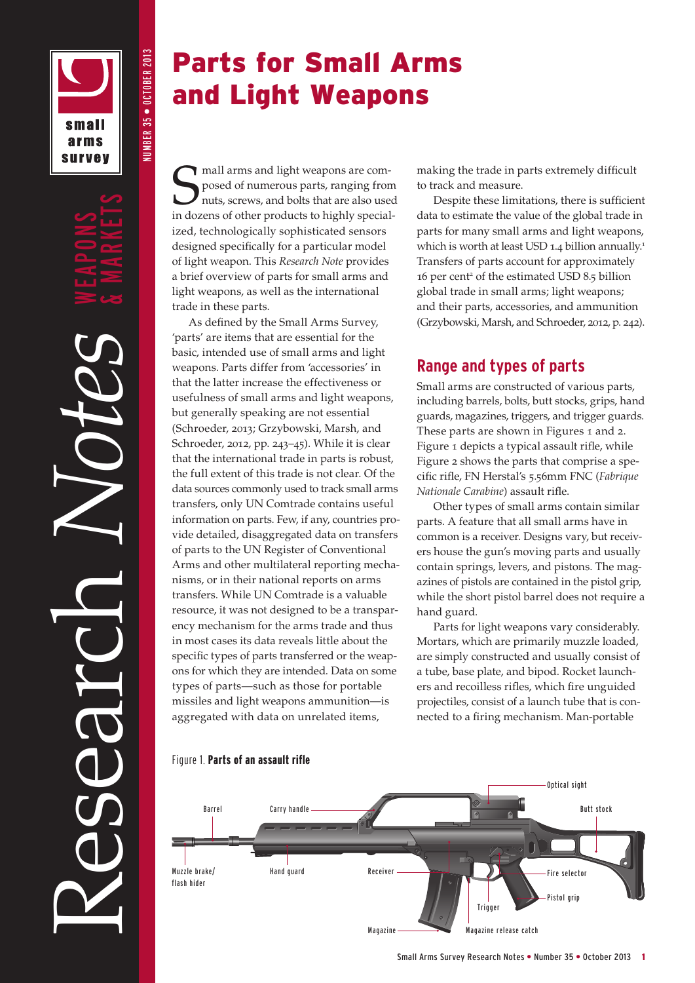

Research *Notes* WEAPONS & MARKETS

**NUMBER 35 ● OCTOBER 2013** 

NUMBER 35 • OCTOBER 2013

# Parts for Small Arms and Light Weapons

**S** mall arms and light weapons are composed of numerous parts, ranging from nuts, screws, and bolts that are also used in dozens of other products to highly specialmall arms and light weapons are composed of numerous parts, ranging from nuts, screws, and bolts that are also used ized, technologically sophisticated sensors designed specifically for a particular model of light weapon. This *Research Note* provides a brief overview of parts for small arms and light weapons, as well as the international trade in these parts.

As defined by the Small Arms Survey, 'parts' are items that are essential for the basic, intended use of small arms and light weapons. Parts differ from 'accessories' in that the latter increase the effectiveness or usefulness of small arms and light weapons, but generally speaking are not essential (Schroeder, 2013; Grzybowski, Marsh, and Schroeder, 2012, pp. 243–45). While it is clear that the international trade in parts is robust, the full extent of this trade is not clear. Of the data sources commonly used to track small arms transfers, only UN Comtrade contains useful information on parts. Few, if any, countries provide detailed, disaggregated data on transfers of parts to the UN Register of Conventional Arms and other multilateral reporting mechanisms, or in their national reports on arms transfers. While UN Comtrade is a valuable resource, it was not designed to be a transparency mechanism for the arms trade and thus in most cases its data reveals little about the specific types of parts transferred or the weapons for which they are intended. Data on some types of parts—such as those for portable missiles and light weapons ammunition—is aggregated with data on unrelated items,

making the trade in parts extremely difficult to track and measure.

Despite these limitations, there is sufficient data to estimate the value of the global trade in parts for many small arms and light weapons, which is worth at least USD 1.4 billion annually.<sup>1</sup> Transfers of parts account for approximately 16 per cent<sup>2</sup> of the estimated USD 8.5 billion global trade in small arms; light weapons; and their parts, accessories, and ammunition (Grzybowski, Marsh, and Schroeder, 2012, p. 242).

### **Range and types of parts**

Small arms are constructed of various parts, including barrels, bolts, butt stocks, grips, hand guards, magazines, triggers, and trigger guards. These parts are shown in Figures 1 and 2. Figure 1 depicts a typical assault rifle, while Figure 2 shows the parts that comprise a specific rifle, FN Herstal's 5.56mm FNC (*Fabrique Nationale Carabine*) assault rifle.

Other types of small arms contain similar parts. A feature that all small arms have in common is a receiver. Designs vary, but receivers house the gun's moving parts and usually contain springs, levers, and pistons. The magazines of pistols are contained in the pistol grip, while the short pistol barrel does not require a hand guard.

Parts for light weapons vary considerably. Mortars, which are primarily muzzle loaded, are simply constructed and usually consist of a tube, base plate, and bipod. Rocket launchers and recoilless rifles, which fire unguided projectiles, consist of a launch tube that is connected to a firing mechanism. Man-portable



Figure 1. Parts of an assault rifle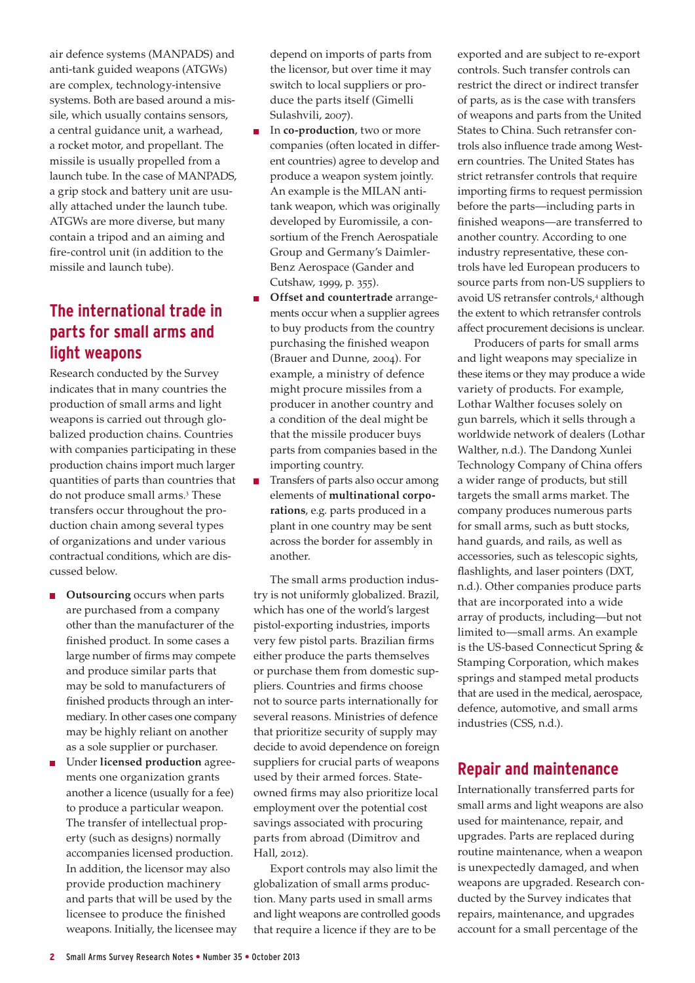air defence systems (MANPADS) and anti-tank guided weapons (ATGWs) are complex, technology-intensive systems. Both are based around a missile, which usually contains sensors, a central guidance unit, a warhead, a rocket motor, and propellant. The missile is usually propelled from a launch tube. In the case of MANPADS, a grip stock and battery unit are usually attached under the launch tube. ATGWs are more diverse, but many contain a tripod and an aiming and fire-control unit (in addition to the missile and launch tube).

## **The international trade in parts for small arms and light weapons**

Research conducted by the Survey indicates that in many countries the production of small arms and light weapons is carried out through globalized production chains. Countries with companies participating in these production chains import much larger quantities of parts than countries that do not produce small arms.<sup>3</sup> These transfers occur throughout the production chain among several types of organizations and under various contractual conditions, which are discussed below.

- $\blacksquare$  **Outsourcing** occurs when parts are purchased from a company other than the manufacturer of the finished product. In some cases a large number of firms may compete and produce similar parts that may be sold to manufacturers of finished products through an intermediary. In other cases one company may be highly reliant on another as a sole supplier or purchaser.
- Under **licensed production** agreements one organization grants another a licence (usually for a fee) to produce a particular weapon. The transfer of intellectual property (such as designs) normally accompanies licensed production. In addition, the licensor may also provide production machinery and parts that will be used by the licensee to produce the finished weapons. Initially, the licensee may

depend on imports of parts from the licensor, but over time it may switch to local suppliers or produce the parts itself (Gimelli Sulashvili, 2007).

- In **co-production**, two or more companies (often located in different countries) agree to develop and produce a weapon system jointly. An example is the MILAN antitank weapon, which was originally developed by Euromissile, a consortium of the French Aerospatiale Group and Germany's Daimler-Benz Aerospace (Gander and Cutshaw, 1999, p. 355).
- **Offset and countertrade** arrangements occur when a supplier agrees to buy products from the country purchasing the finished weapon (Brauer and Dunne, 2004). For example, a ministry of defence might procure missiles from a producer in another country and a condition of the deal might be that the missile producer buys parts from companies based in the importing country.
- Transfers of parts also occur among  $\mathcal{L}_{\mathcal{A}}$ elements of **multinational corporations**, e.g. parts produced in a plant in one country may be sent across the border for assembly in another.

The small arms production industry is not uniformly globalized. Brazil, which has one of the world's largest pistol-exporting industries, imports very few pistol parts. Brazilian firms either produce the parts themselves or purchase them from domestic suppliers. Countries and firms choose not to source parts internationally for several reasons. Ministries of defence that prioritize security of supply may decide to avoid dependence on foreign suppliers for crucial parts of weapons used by their armed forces. Stateowned firms may also prioritize local employment over the potential cost savings associated with procuring parts from abroad (Dimitrov and Hall, 2012).

Export controls may also limit the globalization of small arms production. Many parts used in small arms and light weapons are controlled goods that require a licence if they are to be

exported and are subject to re-export controls. Such transfer controls can restrict the direct or indirect transfer of parts, as is the case with transfers of weapons and parts from the United States to China. Such retransfer controls also influence trade among Western countries. The United States has strict retransfer controls that require importing firms to request permission before the parts—including parts in finished weapons—are transferred to another country. According to one industry representative, these controls have led European producers to source parts from non-US suppliers to avoid US retransfer controls,<sup>4</sup> although the extent to which retransfer controls affect procurement decisions is unclear.

Producers of parts for small arms and light weapons may specialize in these items or they may produce a wide variety of products. For example, Lothar Walther focuses solely on gun barrels, which it sells through a worldwide network of dealers (Lothar Walther, n.d.). The Dandong Xunlei Technology Company of China offers a wider range of products, but still targets the small arms market. The company produces numerous parts for small arms, such as butt stocks, hand guards, and rails, as well as accessories, such as telescopic sights, flashlights, and laser pointers (DXT, n.d.). Other companies produce parts that are incorporated into a wide array of products, including—but not limited to—small arms. An example is the US-based Connecticut Spring & Stamping Corporation, which makes springs and stamped metal products that are used in the medical, aerospace, defence, automotive, and small arms industries (CSS, n.d.).

#### **Repair and maintenance**

Internationally transferred parts for small arms and light weapons are also used for maintenance, repair, and upgrades. Parts are replaced during routine maintenance, when a weapon is unexpectedly damaged, and when weapons are upgraded. Research conducted by the Survey indicates that repairs, maintenance, and upgrades account for a small percentage of the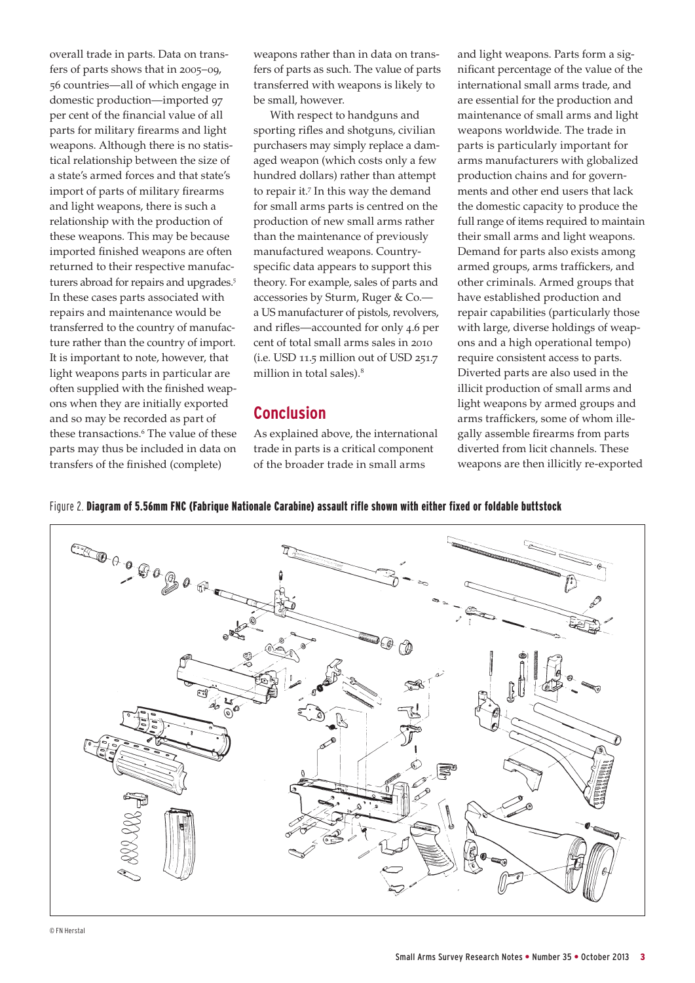overall trade in parts. Data on transfers of parts shows that in 2005–09, 56 countries—all of which engage in domestic production—imported 97 per cent of the financial value of all parts for military firearms and light weapons. Although there is no statistical relationship between the size of a state's armed forces and that state's import of parts of military firearms and light weapons, there is such a relationship with the production of these weapons. This may be because imported finished weapons are often returned to their respective manufacturers abroad for repairs and upgrades.<sup>5</sup> In these cases parts associated with repairs and maintenance would be transferred to the country of manufacture rather than the country of import. It is important to note, however, that light weapons parts in particular are often supplied with the finished weapons when they are initially exported and so may be recorded as part of these transactions.<sup>6</sup> The value of these parts may thus be included in data on transfers of the finished (complete)

weapons rather than in data on transfers of parts as such. The value of parts transferred with weapons is likely to be small, however.

With respect to handguns and sporting rifles and shotguns, civilian purchasers may simply replace a damaged weapon (which costs only a few hundred dollars) rather than attempt to repair it.<sup>7</sup> In this way the demand for small arms parts is centred on the production of new small arms rather than the maintenance of previously manufactured weapons. Countryspecific data appears to support this theory. For example, sales of parts and accessories by Sturm, Ruger & Co. a US manufacturer of pistols, revolvers, and rifles—accounted for only 4.6 per cent of total small arms sales in 2010 (i.e. USD 11.5 million out of USD 251.7 million in total sales).<sup>8</sup>

#### **Conclusion**

As explained above, the international trade in parts is a critical component of the broader trade in small arms

and light weapons. Parts form a significant percentage of the value of the international small arms trade, and are essential for the production and maintenance of small arms and light weapons worldwide. The trade in parts is particularly important for arms manufacturers with globalized production chains and for governments and other end users that lack the domestic capacity to produce the full range of items required to maintain their small arms and light weapons. Demand for parts also exists among armed groups, arms traffickers, and other criminals. Armed groups that have established production and repair capabilities (particularly those with large, diverse holdings of weapons and a high operational tempo) require consistent access to parts. Diverted parts are also used in the illicit production of small arms and light weapons by armed groups and arms traffickers, some of whom illegally assemble firearms from parts diverted from licit channels. These weapons are then illicitly re-exported